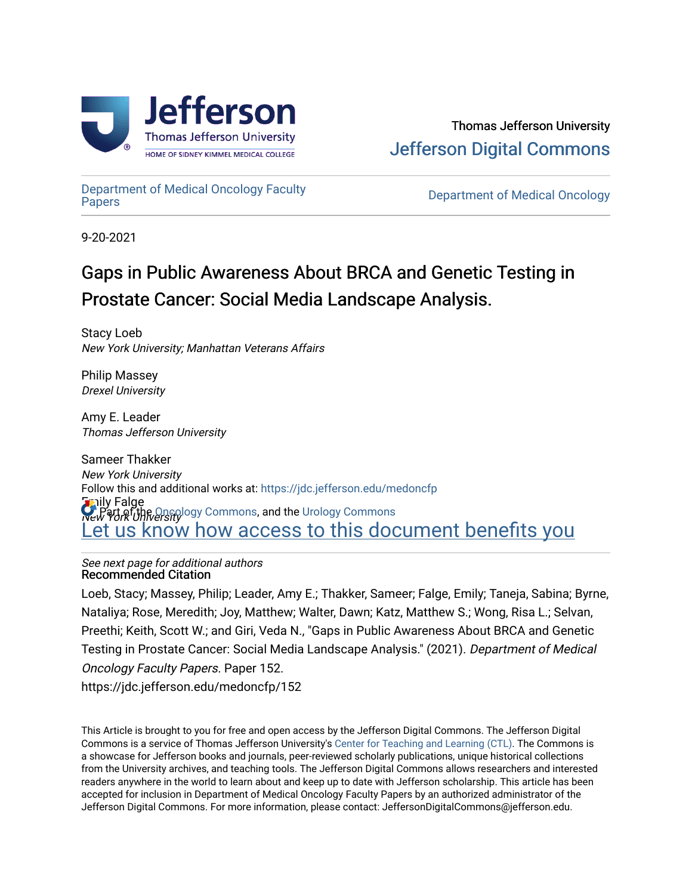

# [Department of Medical Oncology Faculty](https://jdc.jefferson.edu/medoncfp)  Department of Medical Oncology Faculty<br>[Papers](https://jdc.jefferson.edu/medoncfp) Department of Medical Oncology

9-20-2021

# Gaps in Public Awareness About BRCA and Genetic Testing in Prostate Cancer: Social Media Landscape Analysis.

Stacy Loeb New York University; Manhattan Veterans Affairs

Philip Massey Drexel University

Amy E. Leader Thomas Jefferson University

Sameer Thakker New York University Emily Falge New York University logy Commons, and the [Urology Commons](http://network.bepress.com/hgg/discipline/707?utm_source=jdc.jefferson.edu%2Fmedoncfp%2F152&utm_medium=PDF&utm_campaign=PDFCoverPages) Follow this and additional works at: [https://jdc.jefferson.edu/medoncfp](https://jdc.jefferson.edu/medoncfp?utm_source=jdc.jefferson.edu%2Fmedoncfp%2F152&utm_medium=PDF&utm_campaign=PDFCoverPages) [Let us know how access to this document benefits you](https://library.jefferson.edu/forms/jdc/index.cfm) 

#### See next page for additional authors Recommended Citation

Loeb, Stacy; Massey, Philip; Leader, Amy E.; Thakker, Sameer; Falge, Emily; Taneja, Sabina; Byrne, Nataliya; Rose, Meredith; Joy, Matthew; Walter, Dawn; Katz, Matthew S.; Wong, Risa L.; Selvan, Preethi; Keith, Scott W.; and Giri, Veda N., "Gaps in Public Awareness About BRCA and Genetic Testing in Prostate Cancer: Social Media Landscape Analysis." (2021). Department of Medical Oncology Faculty Papers. Paper 152. https://jdc.jefferson.edu/medoncfp/152

This Article is brought to you for free and open access by the Jefferson Digital Commons. The Jefferson Digital Commons is a service of Thomas Jefferson University's [Center for Teaching and Learning \(CTL\)](http://www.jefferson.edu/university/teaching-learning.html/). The Commons is a showcase for Jefferson books and journals, peer-reviewed scholarly publications, unique historical collections from the University archives, and teaching tools. The Jefferson Digital Commons allows researchers and interested readers anywhere in the world to learn about and keep up to date with Jefferson scholarship. This article has been accepted for inclusion in Department of Medical Oncology Faculty Papers by an authorized administrator of the Jefferson Digital Commons. For more information, please contact: JeffersonDigitalCommons@jefferson.edu.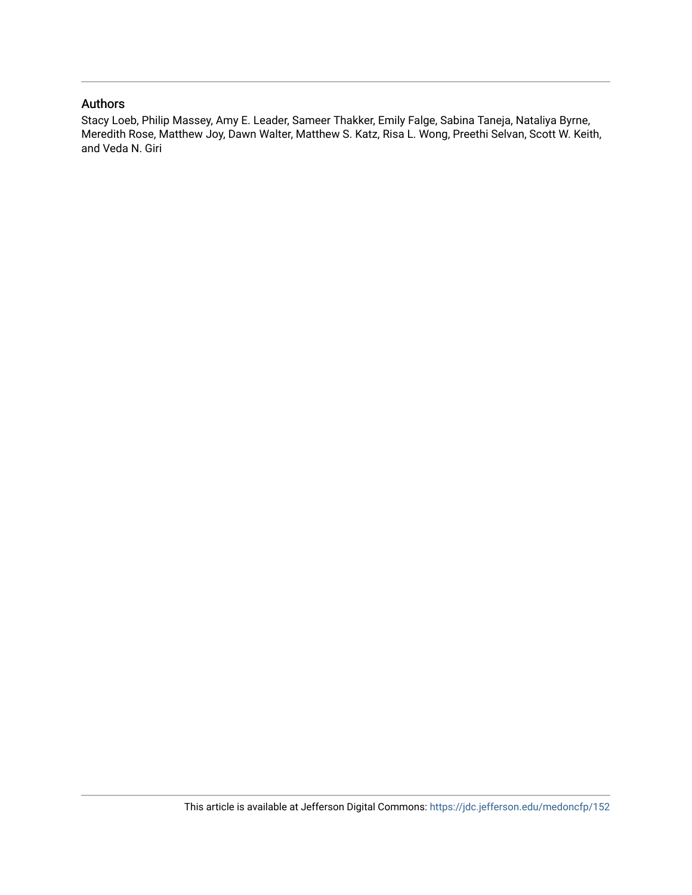## Authors

Stacy Loeb, Philip Massey, Amy E. Leader, Sameer Thakker, Emily Falge, Sabina Taneja, Nataliya Byrne, Meredith Rose, Matthew Joy, Dawn Walter, Matthew S. Katz, Risa L. Wong, Preethi Selvan, Scott W. Keith, and Veda N. Giri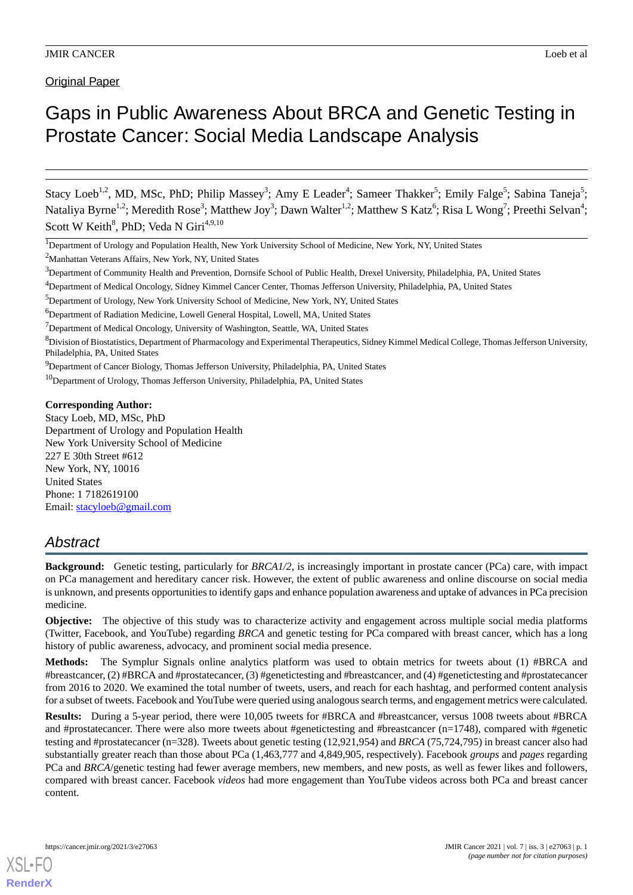Original Paper

# Gaps in Public Awareness About BRCA and Genetic Testing in Prostate Cancer: Social Media Landscape Analysis

Stacy Loeb<sup>1,2</sup>, MD, MSc, PhD; Philip Massey<sup>3</sup>; Amy E Leader<sup>4</sup>; Sameer Thakker<sup>5</sup>; Emily Falge<sup>5</sup>; Sabina Taneja<sup>5</sup>; Nataliya Byrne<sup>1,2</sup>; Meredith Rose<sup>3</sup>; Matthew Joy<sup>3</sup>; Dawn Walter<sup>1,2</sup>; Matthew S Katz<sup>6</sup>; Risa L Wong<sup>7</sup>; Preethi Selvan<sup>4</sup>; Scott W Keith<sup>8</sup>, PhD; Veda N Giri<sup>4,9,10</sup>

<sup>1</sup>Department of Urology and Population Health, New York University School of Medicine, New York, NY, United States

<sup>2</sup>Manhattan Veterans Affairs, New York, NY, United States

<sup>4</sup>Department of Medical Oncology, Sidney Kimmel Cancer Center, Thomas Jefferson University, Philadelphia, PA, United States

- <sup>5</sup>Department of Urology, New York University School of Medicine, New York, NY, United States
- <sup>6</sup>Department of Radiation Medicine, Lowell General Hospital, Lowell, MA, United States

 $17$ Department of Medical Oncology, University of Washington, Seattle, WA, United States

<sup>8</sup>Division of Biostatistics, Department of Pharmacology and Experimental Therapeutics, Sidney Kimmel Medical College, Thomas Jefferson University, Philadelphia, PA, United States

<sup>9</sup>Department of Cancer Biology, Thomas Jefferson University, Philadelphia, PA, United States

<sup>10</sup>Department of Urology, Thomas Jefferson University, Philadelphia, PA, United States

#### **Corresponding Author:**

Stacy Loeb, MD, MSc, PhD Department of Urology and Population Health New York University School of Medicine 227 E 30th Street #612 New York, NY, 10016 United States Phone: 1 7182619100 Email: [stacyloeb@gmail.com](mailto:stacyloeb@gmail.com)

# *Abstract*

**Background:** Genetic testing, particularly for *BRCA1/2*, is increasingly important in prostate cancer (PCa) care, with impact on PCa management and hereditary cancer risk. However, the extent of public awareness and online discourse on social media is unknown, and presents opportunities to identify gaps and enhance population awareness and uptake of advances in PCa precision medicine.

**Objective:** The objective of this study was to characterize activity and engagement across multiple social media platforms (Twitter, Facebook, and YouTube) regarding *BRCA* and genetic testing for PCa compared with breast cancer, which has a long history of public awareness, advocacy, and prominent social media presence.

**Methods:** The Symplur Signals online analytics platform was used to obtain metrics for tweets about (1) #BRCA and #breastcancer, (2) #BRCA and #prostatecancer, (3) #genetictesting and #breastcancer, and (4) #genetictesting and #prostatecancer from 2016 to 2020. We examined the total number of tweets, users, and reach for each hashtag, and performed content analysis for a subset of tweets. Facebook and YouTube were queried using analogous search terms, and engagement metrics were calculated.

**Results:** During a 5-year period, there were 10,005 tweets for #BRCA and #breastcancer, versus 1008 tweets about #BRCA and #prostatecancer. There were also more tweets about #genetictesting and #breastcancer (n=1748), compared with #genetic testing and #prostatecancer (n=328). Tweets about genetic testing (12,921,954) and *BRCA* (75,724,795) in breast cancer also had substantially greater reach than those about PCa (1,463,777 and 4,849,905, respectively). Facebook *groups* and *pages* regarding PCa and *BRCA*/genetic testing had fewer average members, new members, and new posts, as well as fewer likes and followers, compared with breast cancer. Facebook *videos* had more engagement than YouTube videos across both PCa and breast cancer content.

<sup>&</sup>lt;sup>3</sup>Department of Community Health and Prevention, Dornsife School of Public Health, Drexel University, Philadelphia, PA, United States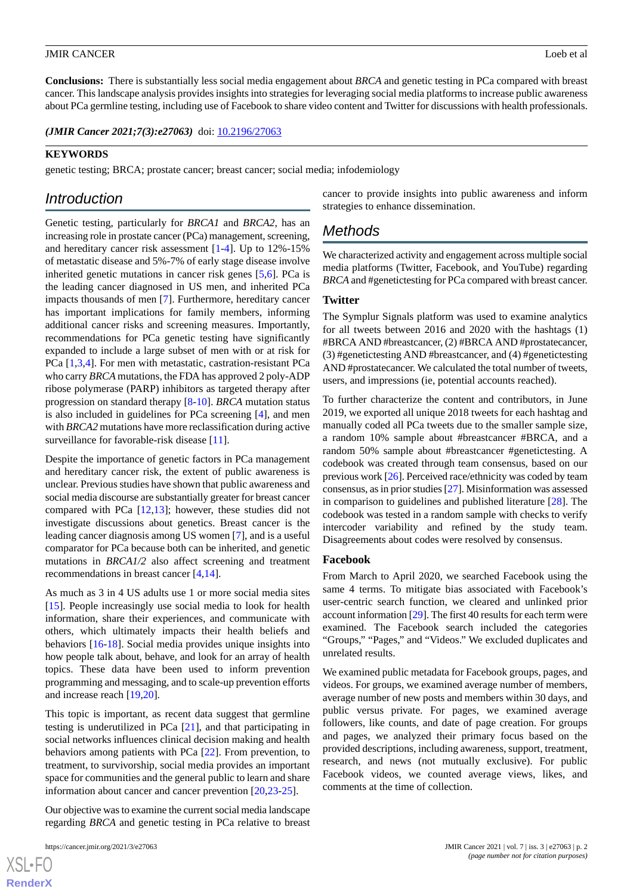**Conclusions:** There is substantially less social media engagement about *BRCA* and genetic testing in PCa compared with breast cancer. This landscape analysis provides insights into strategies for leveraging social media platforms to increase public awareness about PCa germline testing, including use of Facebook to share video content and Twitter for discussions with health professionals.

(JMIR Cancer 2021;7(3):e27063) doi: [10.2196/27063](http://dx.doi.org/10.2196/27063)

#### **KEYWORDS**

genetic testing; BRCA; prostate cancer; breast cancer; social media; infodemiology

# *Introduction*

Genetic testing, particularly for *BRCA1* and *BRCA2*, has an increasing role in prostate cancer (PCa) management, screening, and hereditary cancer risk assessment [[1-](#page-6-0)[4](#page-6-1)]. Up to 12%-15% of metastatic disease and 5%-7% of early stage disease involve inherited genetic mutations in cancer risk genes [[5,](#page-6-2)[6](#page-6-3)]. PCa is the leading cancer diagnosed in US men, and inherited PCa impacts thousands of men [[7](#page-6-4)]. Furthermore, hereditary cancer has important implications for family members, informing additional cancer risks and screening measures. Importantly, recommendations for PCa genetic testing have significantly expanded to include a large subset of men with or at risk for PCa [\[1](#page-6-0),[3](#page-6-5)[,4](#page-6-1)]. For men with metastatic, castration-resistant PCa who carry *BRCA* mutations, the FDA has approved 2 poly-ADP ribose polymerase (PARP) inhibitors as targeted therapy after progression on standard therapy [\[8-](#page-6-6)[10\]](#page-6-7). *BRCA* mutation status is also included in guidelines for PCa screening [\[4](#page-6-1)], and men with *BRCA2* mutations have more reclassification during active surveillance for favorable-risk disease [\[11](#page-6-8)].

Despite the importance of genetic factors in PCa management and hereditary cancer risk, the extent of public awareness is unclear. Previous studies have shown that public awareness and social media discourse are substantially greater for breast cancer compared with PCa [\[12](#page-6-9),[13\]](#page-7-0); however, these studies did not investigate discussions about genetics. Breast cancer is the leading cancer diagnosis among US women [[7\]](#page-6-4), and is a useful comparator for PCa because both can be inherited, and genetic mutations in *BRCA1/2* also affect screening and treatment recommendations in breast cancer [[4,](#page-6-1)[14](#page-7-1)].

As much as 3 in 4 US adults use 1 or more social media sites [[15\]](#page-7-2). People increasingly use social media to look for health information, share their experiences, and communicate with others, which ultimately impacts their health beliefs and behaviors [\[16](#page-7-3)-[18\]](#page-7-4). Social media provides unique insights into how people talk about, behave, and look for an array of health topics. These data have been used to inform prevention programming and messaging, and to scale-up prevention efforts and increase reach [\[19](#page-7-5),[20\]](#page-7-6).

This topic is important, as recent data suggest that germline testing is underutilized in PCa [[21\]](#page-7-7), and that participating in social networks influences clinical decision making and health behaviors among patients with PCa [\[22](#page-7-8)]. From prevention, to treatment, to survivorship, social media provides an important space for communities and the general public to learn and share information about cancer and cancer prevention [\[20](#page-7-6),[23-](#page-7-9)[25](#page-7-10)].

Our objective was to examine the current social media landscape regarding *BRCA* and genetic testing in PCa relative to breast

 $XS$  • FO **[RenderX](http://www.renderx.com/)** cancer to provide insights into public awareness and inform strategies to enhance dissemination.

# *Methods*

We characterized activity and engagement across multiple social media platforms (Twitter, Facebook, and YouTube) regarding *BRCA* and #genetictesting for PCa compared with breast cancer.

#### **Twitter**

The Symplur Signals platform was used to examine analytics for all tweets between 2016 and 2020 with the hashtags (1) #BRCA AND #breastcancer, (2) #BRCA AND #prostatecancer, (3) #genetictesting AND #breastcancer, and (4) #genetictesting AND #prostatecancer. We calculated the total number of tweets, users, and impressions (ie, potential accounts reached).

To further characterize the content and contributors, in June 2019, we exported all unique 2018 tweets for each hashtag and manually coded all PCa tweets due to the smaller sample size, a random 10% sample about #breastcancer #BRCA, and a random 50% sample about #breastcancer #genetictesting. A codebook was created through team consensus, based on our previous work [[26\]](#page-7-11). Perceived race/ethnicity was coded by team consensus, as in prior studies [\[27\]](#page-7-12). Misinformation was assessed in comparison to guidelines and published literature [[28\]](#page-7-13). The codebook was tested in a random sample with checks to verify intercoder variability and refined by the study team. Disagreements about codes were resolved by consensus.

#### **Facebook**

From March to April 2020, we searched Facebook using the same 4 terms. To mitigate bias associated with Facebook's user-centric search function, we cleared and unlinked prior account information [\[29\]](#page-7-14). The first 40 results for each term were examined. The Facebook search included the categories "Groups," "Pages," and "Videos." We excluded duplicates and unrelated results.

We examined public metadata for Facebook groups, pages, and videos. For groups, we examined average number of members, average number of new posts and members within 30 days, and public versus private. For pages, we examined average followers, like counts, and date of page creation. For groups and pages, we analyzed their primary focus based on the provided descriptions, including awareness, support, treatment, research, and news (not mutually exclusive). For public Facebook videos, we counted average views, likes, and comments at the time of collection.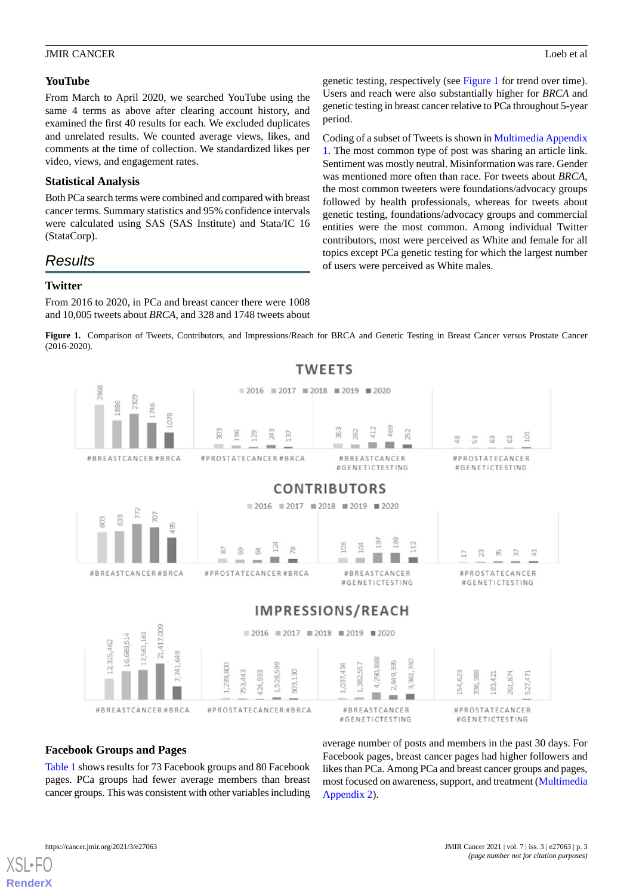genetic testing, respectively (see [Figure 1](#page-4-0) for trend over time). Users and reach were also substantially higher for *BRCA* and genetic testing in breast cancer relative to PCa throughout 5-year

Coding of a subset of Tweets is shown in [Multimedia Appendix](#page-6-10) [1.](#page-6-10) The most common type of post was sharing an article link. Sentiment was mostly neutral. Misinformation was rare. Gender was mentioned more often than race. For tweets about *BRCA*, the most common tweeters were foundations/advocacy groups followed by health professionals, whereas for tweets about genetic testing, foundations/advocacy groups and commercial entities were the most common. Among individual Twitter contributors, most were perceived as White and female for all topics except PCa genetic testing for which the largest number

of users were perceived as White males.

#### **YouTube**

From March to April 2020, we searched YouTube using the same 4 terms as above after clearing account history, and examined the first 40 results for each. We excluded duplicates and unrelated results. We counted average views, likes, and comments at the time of collection. We standardized likes per video, views, and engagement rates.

#### **Statistical Analysis**

Both PCa search terms were combined and compared with breast cancer terms. Summary statistics and 95% confidence intervals were calculated using SAS (SAS Institute) and Stata/IC 16 (StataCorp).

*Results*

#### **Twitter**

<span id="page-4-0"></span>From 2016 to 2020, in PCa and breast cancer there were 1008 and 10,005 tweets about *BRCA*, and 328 and 1748 tweets about

Figure 1. Comparison of Tweets, Contributors, and Impressions/Reach for BRCA and Genetic Testing in Breast Cancer versus Prostate Cancer (2016-2020).

period.



# **Facebook Groups and Pages**

[Table 1](#page-5-0) shows results for 73 Facebook groups and 80 Facebook pages. PCa groups had fewer average members than breast cancer groups. This was consistent with other variables including average number of posts and members in the past 30 days. For Facebook pages, breast cancer pages had higher followers and likes than PCa. Among PCa and breast cancer groups and pages, most focused on awareness, support, and treatment ([Multimedia](#page-6-11) [Appendix 2\)](#page-6-11).

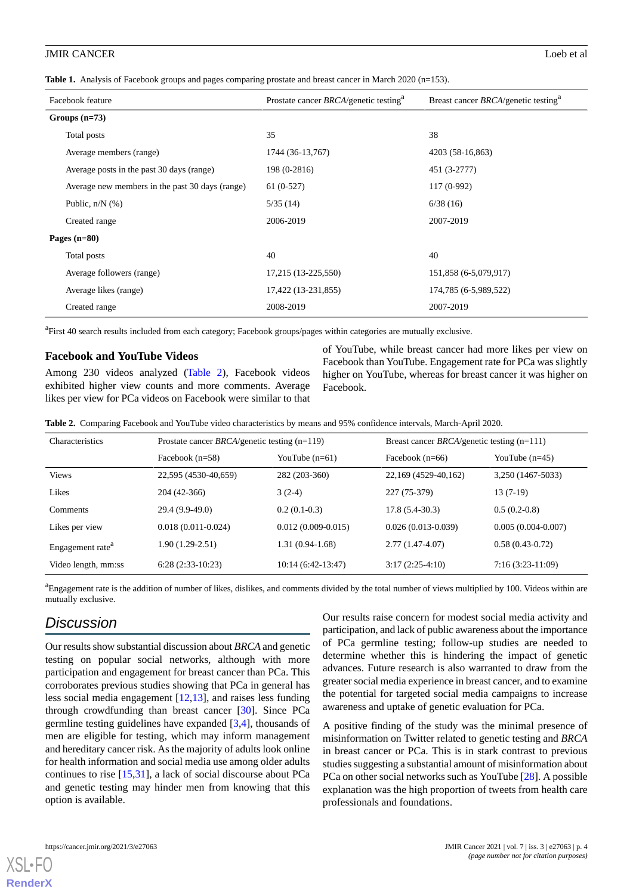<span id="page-5-0"></span>**Table 1.** Analysis of Facebook groups and pages comparing prostate and breast cancer in March 2020 (n=153).

| Facebook feature                                | Prostate cancer BRCA/genetic testing <sup>a</sup> | Breast cancer $BRCA$ /genetic testing <sup>a</sup> |  |
|-------------------------------------------------|---------------------------------------------------|----------------------------------------------------|--|
| Groups $(n=73)$                                 |                                                   |                                                    |  |
| Total posts                                     | 35                                                | 38                                                 |  |
| Average members (range)                         | 1744 (36-13,767)                                  | 4203 (58-16,863)                                   |  |
| Average posts in the past 30 days (range)       | 198 (0-2816)                                      | 451 (3-2777)                                       |  |
| Average new members in the past 30 days (range) | $61(0-527)$                                       | $117(0-992)$                                       |  |
| Public, $n/N$ (%)                               | 5/35(14)                                          | 6/38(16)                                           |  |
| Created range                                   | 2006-2019                                         | 2007-2019                                          |  |
| Pages $(n=80)$                                  |                                                   |                                                    |  |
| Total posts                                     | 40                                                | 40                                                 |  |
| Average followers (range)                       | 17,215 (13-225,550)                               | 151,858 (6-5,079,917)                              |  |
| Average likes (range)                           | 17,422 (13-231,855)                               | 174,785 (6-5,989,522)                              |  |
| Created range                                   | 2008-2019                                         | 2007-2019                                          |  |

<sup>a</sup>First 40 search results included from each category; Facebook groups/pages within categories are mutually exclusive.

#### **Facebook and YouTube Videos**

<span id="page-5-1"></span>Among 230 videos analyzed [\(Table 2](#page-5-1)), Facebook videos exhibited higher view counts and more comments. Average likes per view for PCa videos on Facebook were similar to that

of YouTube, while breast cancer had more likes per view on Facebook than YouTube. Engagement rate for PCa was slightly higher on YouTube, whereas for breast cancer it was higher on Facebook.

|  |  |  | <b>Table 2.</b> Comparing Facebook and YouTube video characteristics by means and 95% confidence intervals, March-April 2020. |  |  |  |  |  |  |  |  |  |  |
|--|--|--|-------------------------------------------------------------------------------------------------------------------------------|--|--|--|--|--|--|--|--|--|--|
|--|--|--|-------------------------------------------------------------------------------------------------------------------------------|--|--|--|--|--|--|--|--|--|--|

| Characteristics              | Prostate cancer <i>BRCA</i> /genetic testing $(n=119)$ |                        | Breast cancer <i>BRCA</i> /genetic testing $(n=111)$ |                      |  |
|------------------------------|--------------------------------------------------------|------------------------|------------------------------------------------------|----------------------|--|
|                              | Facebook $(n=58)$                                      | YouTube $(n=61)$       | Facebook $(n=66)$                                    | YouTube $(n=45)$     |  |
| <b>Views</b>                 | 22,595 (4530-40,659)                                   | 282 (203-360)          | 22,169 (4529-40,162)                                 | 3,250 (1467-5033)    |  |
| Likes                        | 204 (42-366)                                           | $3(2-4)$               | 227 (75-379)                                         | $13(7-19)$           |  |
| <b>Comments</b>              | 29.4 (9.9-49.0)                                        | $0.2(0.1-0.3)$         | $17.8(5.4-30.3)$                                     | $0.5(0.2-0.8)$       |  |
| Likes per view               | $0.018(0.011-0.024)$                                   | $0.012(0.009 - 0.015)$ | $0.026(0.013-0.039)$                                 | $0.005(0.004-0.007)$ |  |
| Engagement rate <sup>a</sup> | $1.90(1.29-2.51)$                                      | $1.31(0.94-1.68)$      | $2.77(1.47-4.07)$                                    | $0.58(0.43-0.72)$    |  |
| Video length, mm:ss          | $6:28(2:33-10:23)$                                     | $10:14(6:42-13:47)$    | $3:17(2:25-4:10)$                                    | $7:16(3:23-11:09)$   |  |

<sup>a</sup>Engagement rate is the addition of number of likes, dislikes, and comments divided by the total number of views multiplied by 100. Videos within are mutually exclusive.

# *Discussion*

Our results show substantial discussion about *BRCA* and genetic testing on popular social networks, although with more participation and engagement for breast cancer than PCa. This corroborates previous studies showing that PCa in general has less social media engagement [\[12](#page-6-9),[13\]](#page-7-0), and raises less funding through crowdfunding than breast cancer [\[30](#page-7-15)]. Since PCa germline testing guidelines have expanded [[3](#page-6-5)[,4](#page-6-1)], thousands of men are eligible for testing, which may inform management and hereditary cancer risk. As the majority of adults look online for health information and social media use among older adults continues to rise [[15,](#page-7-2)[31](#page-7-16)], a lack of social discourse about PCa and genetic testing may hinder men from knowing that this option is available.

Our results raise concern for modest social media activity and participation, and lack of public awareness about the importance of PCa germline testing; follow-up studies are needed to determine whether this is hindering the impact of genetic advances. Future research is also warranted to draw from the greater social media experience in breast cancer, and to examine the potential for targeted social media campaigns to increase awareness and uptake of genetic evaluation for PCa.

A positive finding of the study was the minimal presence of misinformation on Twitter related to genetic testing and *BRCA* in breast cancer or PCa. This is in stark contrast to previous studies suggesting a substantial amount of misinformation about PCa on other social networks such as YouTube [[28\]](#page-7-13). A possible explanation was the high proportion of tweets from health care professionals and foundations.

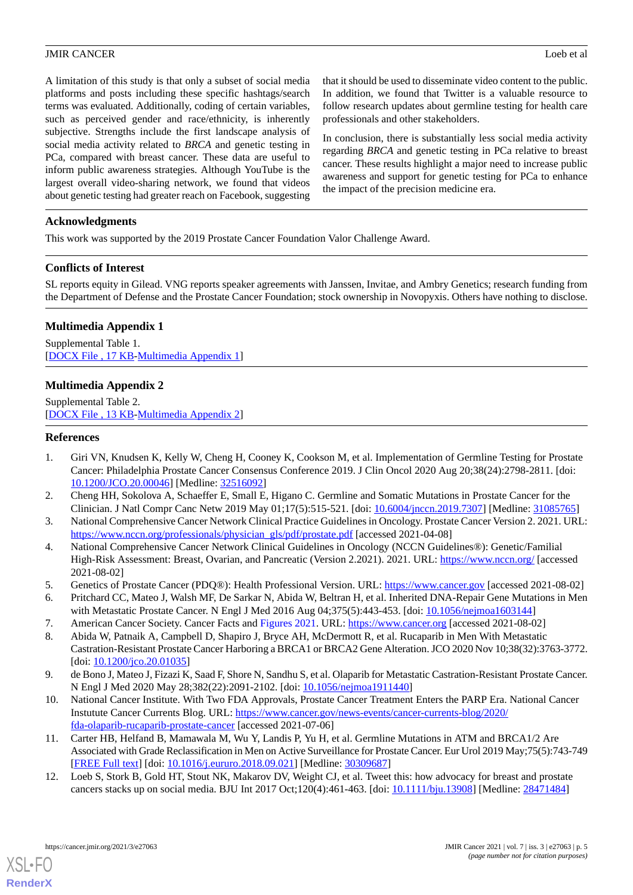A limitation of this study is that only a subset of social media platforms and posts including these specific hashtags/search terms was evaluated. Additionally, coding of certain variables, such as perceived gender and race/ethnicity, is inherently subjective. Strengths include the first landscape analysis of social media activity related to *BRCA* and genetic testing in PCa, compared with breast cancer. These data are useful to inform public awareness strategies. Although YouTube is the largest overall video-sharing network, we found that videos about genetic testing had greater reach on Facebook, suggesting

that it should be used to disseminate video content to the public. In addition, we found that Twitter is a valuable resource to follow research updates about germline testing for health care professionals and other stakeholders.

In conclusion, there is substantially less social media activity regarding *BRCA* and genetic testing in PCa relative to breast cancer. These results highlight a major need to increase public awareness and support for genetic testing for PCa to enhance the impact of the precision medicine era.

## **Acknowledgments**

This work was supported by the 2019 Prostate Cancer Foundation Valor Challenge Award.

## **Conflicts of Interest**

<span id="page-6-10"></span>SL reports equity in Gilead. VNG reports speaker agreements with Janssen, Invitae, and Ambry Genetics; research funding from the Department of Defense and the Prostate Cancer Foundation; stock ownership in Novopyxis. Others have nothing to disclose.

## **Multimedia Appendix 1**

<span id="page-6-11"></span>Supplemental Table 1. [[DOCX File , 17 KB](https://jmir.org/api/download?alt_name=cancer_v7i3e27063_app1.docx&filename=0e48efcb544fec9344b05b115038ac22.docx)-[Multimedia Appendix 1\]](https://jmir.org/api/download?alt_name=cancer_v7i3e27063_app1.docx&filename=0e48efcb544fec9344b05b115038ac22.docx)

## **Multimedia Appendix 2**

<span id="page-6-0"></span>Supplemental Table 2. [[DOCX File , 13 KB](https://jmir.org/api/download?alt_name=cancer_v7i3e27063_app2.docx&filename=00d0b2511d89032fd54a54c6d7f11b3c.docx)-[Multimedia Appendix 2\]](https://jmir.org/api/download?alt_name=cancer_v7i3e27063_app2.docx&filename=00d0b2511d89032fd54a54c6d7f11b3c.docx)

## **References**

- <span id="page-6-5"></span>1. Giri VN, Knudsen K, Kelly W, Cheng H, Cooney K, Cookson M, et al. Implementation of Germline Testing for Prostate Cancer: Philadelphia Prostate Cancer Consensus Conference 2019. J Clin Oncol 2020 Aug 20;38(24):2798-2811. [doi: [10.1200/JCO.20.00046\]](http://dx.doi.org/10.1200/JCO.20.00046) [Medline: [32516092](http://www.ncbi.nlm.nih.gov/entrez/query.fcgi?cmd=Retrieve&db=PubMed&list_uids=32516092&dopt=Abstract)]
- <span id="page-6-1"></span>2. Cheng HH, Sokolova A, Schaeffer E, Small E, Higano C. Germline and Somatic Mutations in Prostate Cancer for the Clinician. J Natl Compr Canc Netw 2019 May 01;17(5):515-521. [doi: [10.6004/jnccn.2019.7307](http://dx.doi.org/10.6004/jnccn.2019.7307)] [Medline: [31085765\]](http://www.ncbi.nlm.nih.gov/entrez/query.fcgi?cmd=Retrieve&db=PubMed&list_uids=31085765&dopt=Abstract)
- <span id="page-6-2"></span>3. National Comprehensive Cancer Network Clinical Practice Guidelines in Oncology. Prostate Cancer Version 2. 2021. URL: [https://www.nccn.org/professionals/physician\\_gls/pdf/prostate.pdf](https://www.nccn.org/professionals/physician_gls/pdf/prostate.pdf) [accessed 2021-04-08]
- <span id="page-6-4"></span><span id="page-6-3"></span>4. National Comprehensive Cancer Network Clinical Guidelines in Oncology (NCCN Guidelines®): Genetic/Familial High-Risk Assessment: Breast, Ovarian, and Pancreatic (Version 2.2021). 2021. URL:<https://www.nccn.org/> [accessed] 2021-08-02]
- <span id="page-6-6"></span>5. Genetics of Prostate Cancer (PDQ®): Health Professional Version. URL: <https://www.cancer.gov> [accessed 2021-08-02]
- 6. Pritchard CC, Mateo J, Walsh MF, De Sarkar N, Abida W, Beltran H, et al. Inherited DNA-Repair Gene Mutations in Men with Metastatic Prostate Cancer. N Engl J Med 2016 Aug 04;375(5):443-453. [doi: [10.1056/nejmoa1603144\]](http://dx.doi.org/10.1056/nejmoa1603144)
- <span id="page-6-7"></span>7. American Cancer Society. Cancer Facts and Figures 2021. URL: <https://www.cancer.org> [accessed 2021-08-02]
- 8. Abida W, Patnaik A, Campbell D, Shapiro J, Bryce AH, McDermott R, et al. Rucaparib in Men With Metastatic Castration-Resistant Prostate Cancer Harboring a BRCA1 or BRCA2 Gene Alteration. JCO 2020 Nov 10;38(32):3763-3772. [doi: [10.1200/jco.20.01035](http://dx.doi.org/10.1200/jco.20.01035)]
- <span id="page-6-8"></span>9. de Bono J, Mateo J, Fizazi K, Saad F, Shore N, Sandhu S, et al. Olaparib for Metastatic Castration-Resistant Prostate Cancer. N Engl J Med 2020 May 28;382(22):2091-2102. [doi: [10.1056/nejmoa1911440\]](http://dx.doi.org/10.1056/nejmoa1911440)
- <span id="page-6-9"></span>10. National Cancer Institute. With Two FDA Approvals, Prostate Cancer Treatment Enters the PARP Era. National Cancer Instutute Cancer Currents Blog. URL: [https://www.cancer.gov/news-events/cancer-currents-blog/2020/](https://www.cancer.gov/news-events/cancer-currents-blog/2020/fda-olaparib-rucaparib-prostate-cancer) [fda-olaparib-rucaparib-prostate-cancer](https://www.cancer.gov/news-events/cancer-currents-blog/2020/fda-olaparib-rucaparib-prostate-cancer) [accessed 2021-07-06]
- 11. Carter HB, Helfand B, Mamawala M, Wu Y, Landis P, Yu H, et al. Germline Mutations in ATM and BRCA1/2 Are Associated with Grade Reclassification in Men on Active Surveillance for Prostate Cancer. Eur Urol 2019 May;75(5):743-749 [[FREE Full text](http://europepmc.org/abstract/MED/30309687)] [doi: [10.1016/j.eururo.2018.09.021\]](http://dx.doi.org/10.1016/j.eururo.2018.09.021) [Medline: [30309687](http://www.ncbi.nlm.nih.gov/entrez/query.fcgi?cmd=Retrieve&db=PubMed&list_uids=30309687&dopt=Abstract)]
- 12. Loeb S, Stork B, Gold HT, Stout NK, Makarov DV, Weight CJ, et al. Tweet this: how advocacy for breast and prostate cancers stacks up on social media. BJU Int 2017 Oct;120(4):461-463. [doi: [10.1111/bju.13908](http://dx.doi.org/10.1111/bju.13908)] [Medline: [28471484](http://www.ncbi.nlm.nih.gov/entrez/query.fcgi?cmd=Retrieve&db=PubMed&list_uids=28471484&dopt=Abstract)]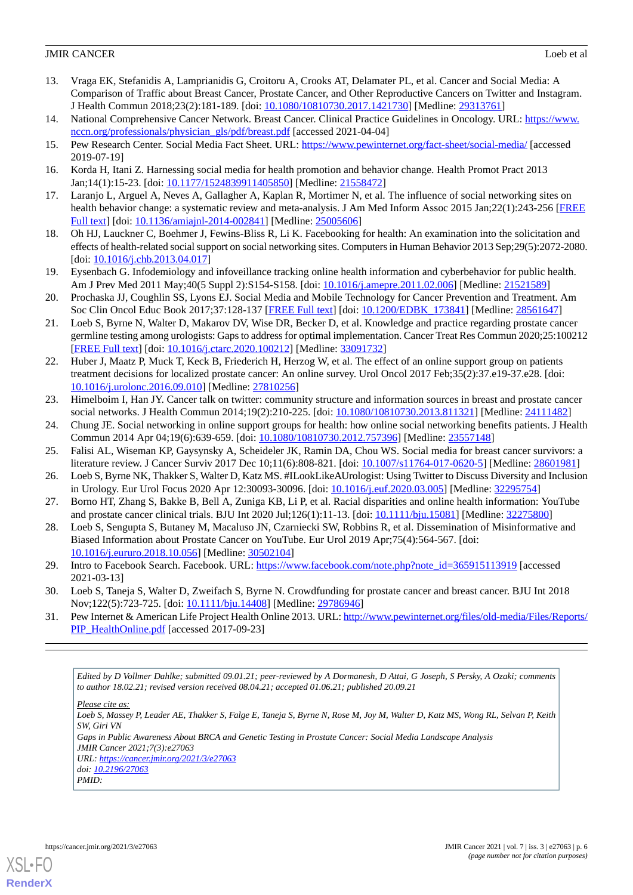- <span id="page-7-0"></span>13. Vraga EK, Stefanidis A, Lamprianidis G, Croitoru A, Crooks AT, Delamater PL, et al. Cancer and Social Media: A Comparison of Traffic about Breast Cancer, Prostate Cancer, and Other Reproductive Cancers on Twitter and Instagram. J Health Commun 2018;23(2):181-189. [doi: [10.1080/10810730.2017.1421730](http://dx.doi.org/10.1080/10810730.2017.1421730)] [Medline: [29313761\]](http://www.ncbi.nlm.nih.gov/entrez/query.fcgi?cmd=Retrieve&db=PubMed&list_uids=29313761&dopt=Abstract)
- <span id="page-7-2"></span><span id="page-7-1"></span>14. National Comprehensive Cancer Network. Breast Cancer. Clinical Practice Guidelines in Oncology. URL: [https://www.](https://www.nccn.org/professionals/physician_gls/pdf/breast.pdf) [nccn.org/professionals/physician\\_gls/pdf/breast.pdf](https://www.nccn.org/professionals/physician_gls/pdf/breast.pdf) [accessed 2021-04-04]
- <span id="page-7-3"></span>15. Pew Research Center. Social Media Fact Sheet. URL: <https://www.pewinternet.org/fact-sheet/social-media/> [accessed 2019-07-19]
- 16. Korda H, Itani Z. Harnessing social media for health promotion and behavior change. Health Promot Pract 2013 Jan;14(1):15-23. [doi: [10.1177/1524839911405850](http://dx.doi.org/10.1177/1524839911405850)] [Medline: [21558472\]](http://www.ncbi.nlm.nih.gov/entrez/query.fcgi?cmd=Retrieve&db=PubMed&list_uids=21558472&dopt=Abstract)
- <span id="page-7-4"></span>17. Laranjo L, Arguel A, Neves A, Gallagher A, Kaplan R, Mortimer N, et al. The influence of social networking sites on health behavior change: a systematic review and meta-analysis. J Am Med Inform Assoc 2015 Jan;22(1):243-256 [\[FREE](http://europepmc.org/abstract/MED/25005606) [Full text\]](http://europepmc.org/abstract/MED/25005606) [doi: [10.1136/amiajnl-2014-002841](http://dx.doi.org/10.1136/amiajnl-2014-002841)] [Medline: [25005606\]](http://www.ncbi.nlm.nih.gov/entrez/query.fcgi?cmd=Retrieve&db=PubMed&list_uids=25005606&dopt=Abstract)
- <span id="page-7-5"></span>18. Oh HJ, Lauckner C, Boehmer J, Fewins-Bliss R, Li K. Facebooking for health: An examination into the solicitation and effects of health-related social support on social networking sites. Computers in Human Behavior 2013 Sep;29(5):2072-2080. [doi: [10.1016/j.chb.2013.04.017](http://dx.doi.org/10.1016/j.chb.2013.04.017)]
- <span id="page-7-6"></span>19. Eysenbach G. Infodemiology and infoveillance tracking online health information and cyberbehavior for public health. Am J Prev Med 2011 May;40(5 Suppl 2):S154-S158. [doi: [10.1016/j.amepre.2011.02.006](http://dx.doi.org/10.1016/j.amepre.2011.02.006)] [Medline: [21521589](http://www.ncbi.nlm.nih.gov/entrez/query.fcgi?cmd=Retrieve&db=PubMed&list_uids=21521589&dopt=Abstract)]
- <span id="page-7-7"></span>20. Prochaska JJ, Coughlin SS, Lyons EJ. Social Media and Mobile Technology for Cancer Prevention and Treatment. Am Soc Clin Oncol Educ Book 2017;37:128-137 [[FREE Full text](https://ascopubs.org/doi/10.1200/EDBK_173841?url_ver=Z39.88-2003&rfr_id=ori:rid:crossref.org&rfr_dat=cr_pub%3dpubmed)] [doi: [10.1200/EDBK\\_173841\]](http://dx.doi.org/10.1200/EDBK_173841) [Medline: [28561647\]](http://www.ncbi.nlm.nih.gov/entrez/query.fcgi?cmd=Retrieve&db=PubMed&list_uids=28561647&dopt=Abstract)
- <span id="page-7-8"></span>21. Loeb S, Byrne N, Walter D, Makarov DV, Wise DR, Becker D, et al. Knowledge and practice regarding prostate cancer germline testing among urologists: Gaps to address for optimal implementation. Cancer Treat Res Commun 2020;25:100212 [[FREE Full text](https://linkinghub.elsevier.com/retrieve/pii/S2468-2942(20)30048-4)] [doi: [10.1016/j.ctarc.2020.100212](http://dx.doi.org/10.1016/j.ctarc.2020.100212)] [Medline: [33091732](http://www.ncbi.nlm.nih.gov/entrez/query.fcgi?cmd=Retrieve&db=PubMed&list_uids=33091732&dopt=Abstract)]
- <span id="page-7-9"></span>22. Huber J, Maatz P, Muck T, Keck B, Friederich H, Herzog W, et al. The effect of an online support group on patients treatment decisions for localized prostate cancer: An online survey. Urol Oncol 2017 Feb;35(2):37.e19-37.e28. [doi: [10.1016/j.urolonc.2016.09.010](http://dx.doi.org/10.1016/j.urolonc.2016.09.010)] [Medline: [27810256\]](http://www.ncbi.nlm.nih.gov/entrez/query.fcgi?cmd=Retrieve&db=PubMed&list_uids=27810256&dopt=Abstract)
- <span id="page-7-10"></span>23. Himelboim I, Han JY. Cancer talk on twitter: community structure and information sources in breast and prostate cancer social networks. J Health Commun 2014;19(2):210-225. [doi: [10.1080/10810730.2013.811321](http://dx.doi.org/10.1080/10810730.2013.811321)] [Medline: [24111482](http://www.ncbi.nlm.nih.gov/entrez/query.fcgi?cmd=Retrieve&db=PubMed&list_uids=24111482&dopt=Abstract)]
- <span id="page-7-11"></span>24. Chung JE. Social networking in online support groups for health: how online social networking benefits patients. J Health Commun 2014 Apr 04;19(6):639-659. [doi: [10.1080/10810730.2012.757396](http://dx.doi.org/10.1080/10810730.2012.757396)] [Medline: [23557148\]](http://www.ncbi.nlm.nih.gov/entrez/query.fcgi?cmd=Retrieve&db=PubMed&list_uids=23557148&dopt=Abstract)
- <span id="page-7-12"></span>25. Falisi AL, Wiseman KP, Gaysynsky A, Scheideler JK, Ramin DA, Chou WS. Social media for breast cancer survivors: a literature review. J Cancer Surviv 2017 Dec 10;11(6):808-821. [doi: [10.1007/s11764-017-0620-5](http://dx.doi.org/10.1007/s11764-017-0620-5)] [Medline: [28601981](http://www.ncbi.nlm.nih.gov/entrez/query.fcgi?cmd=Retrieve&db=PubMed&list_uids=28601981&dopt=Abstract)]
- <span id="page-7-13"></span>26. Loeb S, Byrne NK, Thakker S, Walter D, Katz MS. #ILookLikeAUrologist: Using Twitter to Discuss Diversity and Inclusion in Urology. Eur Urol Focus 2020 Apr 12:30093-30096. [doi: [10.1016/j.euf.2020.03.005](http://dx.doi.org/10.1016/j.euf.2020.03.005)] [Medline: [32295754](http://www.ncbi.nlm.nih.gov/entrez/query.fcgi?cmd=Retrieve&db=PubMed&list_uids=32295754&dopt=Abstract)]
- <span id="page-7-14"></span>27. Borno HT, Zhang S, Bakke B, Bell A, Zuniga KB, Li P, et al. Racial disparities and online health information: YouTube and prostate cancer clinical trials. BJU Int 2020 Jul;126(1):11-13. [doi: [10.1111/bju.15081\]](http://dx.doi.org/10.1111/bju.15081) [Medline: [32275800](http://www.ncbi.nlm.nih.gov/entrez/query.fcgi?cmd=Retrieve&db=PubMed&list_uids=32275800&dopt=Abstract)]
- <span id="page-7-15"></span>28. Loeb S, Sengupta S, Butaney M, Macaluso JN, Czarniecki SW, Robbins R, et al. Dissemination of Misinformative and Biased Information about Prostate Cancer on YouTube. Eur Urol 2019 Apr;75(4):564-567. [doi: [10.1016/j.eururo.2018.10.056\]](http://dx.doi.org/10.1016/j.eururo.2018.10.056) [Medline: [30502104\]](http://www.ncbi.nlm.nih.gov/entrez/query.fcgi?cmd=Retrieve&db=PubMed&list_uids=30502104&dopt=Abstract)
- <span id="page-7-16"></span>29. Intro to Facebook Search. Facebook. URL: [https://www.facebook.com/note.php?note\\_id=365915113919](https://www.facebook.com/note.php?note_id=365915113919) [accessed] 2021-03-13]
- 30. Loeb S, Taneja S, Walter D, Zweifach S, Byrne N. Crowdfunding for prostate cancer and breast cancer. BJU Int 2018 Nov;122(5):723-725. [doi: [10.1111/bju.14408](http://dx.doi.org/10.1111/bju.14408)] [Medline: [29786946\]](http://www.ncbi.nlm.nih.gov/entrez/query.fcgi?cmd=Retrieve&db=PubMed&list_uids=29786946&dopt=Abstract)
- 31. Pew Internet & American Life Project Health Online 2013. URL: [http://www.pewinternet.org/files/old-media/Files/Reports/](http://www.pewinternet.org/files/old-media/Files/Reports/PIP_HealthOnline.pdf) [PIP\\_HealthOnline.pdf](http://www.pewinternet.org/files/old-media/Files/Reports/PIP_HealthOnline.pdf) [accessed 2017-09-23]

*Edited by D Vollmer Dahlke; submitted 09.01.21; peer-reviewed by A Dormanesh, D Attai, G Joseph, S Persky, A Ozaki; comments to author 18.02.21; revised version received 08.04.21; accepted 01.06.21; published 20.09.21*

*Please cite as: Loeb S, Massey P, Leader AE, Thakker S, Falge E, Taneja S, Byrne N, Rose M, Joy M, Walter D, Katz MS, Wong RL, Selvan P, Keith SW, Giri VN Gaps in Public Awareness About BRCA and Genetic Testing in Prostate Cancer: Social Media Landscape Analysis JMIR Cancer 2021;7(3):e27063 URL: <https://cancer.jmir.org/2021/3/e27063> doi: [10.2196/27063](http://dx.doi.org/10.2196/27063) PMID:*